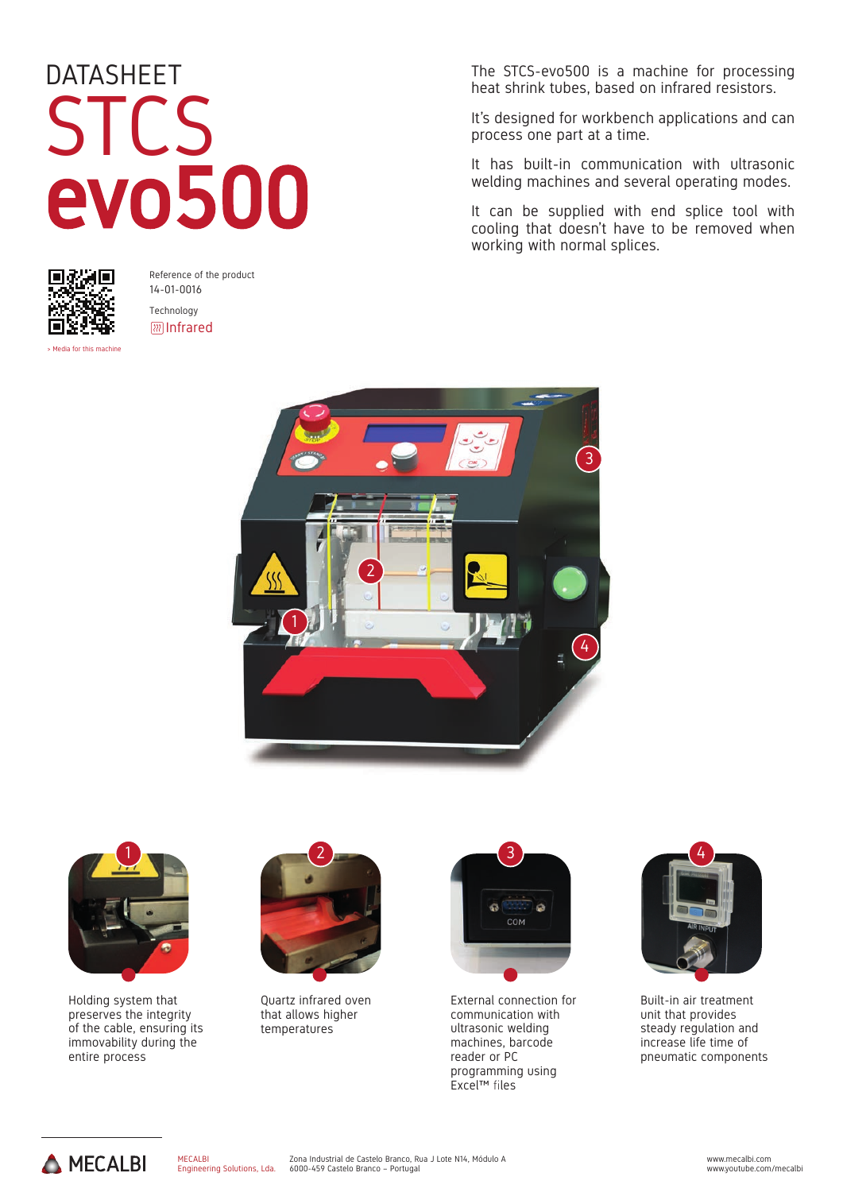## DATASHEET STCS evo500



Reference of the product 14-01-0016 Technology **III** Infrared

> Media for this mac

The STCS-evo500 is a machine for processing heat shrink tubes, based on infrared resistors.

It's designed for workbench applications and can process one part at a time.

It has built-in communication with ultrasonic welding machines and several operating modes.

It can be supplied with end splice tool with cooling that doesn't have to be removed when working with normal splices.





Holding system that preserves the integrity of the cable, ensuring its immovability during the entire process



Quartz infrared oven that allows higher temperatures



External connection for communication with ultrasonic welding machines, barcode reader or PC programming using Excel™ files



Built-in air treatment unit that provides steady regulation and increase life time of pneumatic components